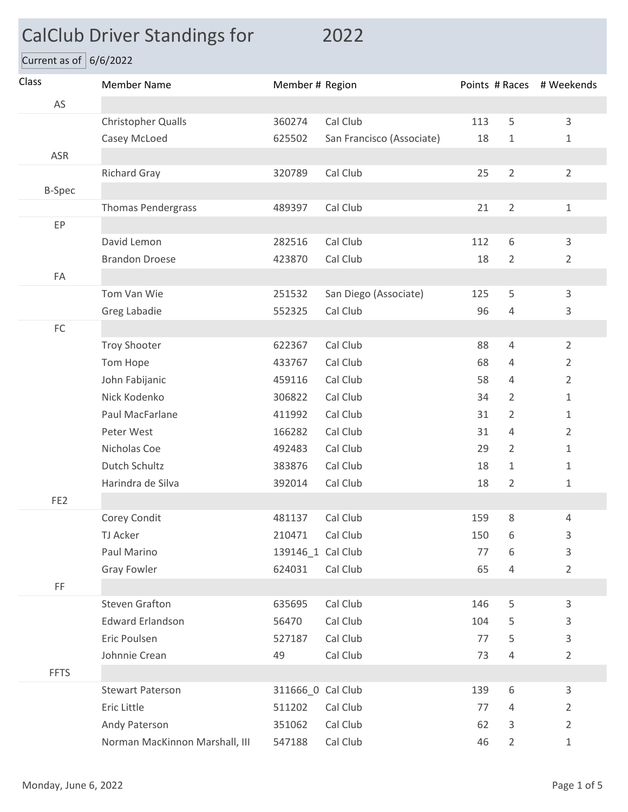## CalClub Driver Standings for 2022

Current as of  $6/6/2022$ 

| Class           | <b>Member Name</b>             | Member # Region   |                           | Points # Races # Weekends |                |                |
|-----------------|--------------------------------|-------------------|---------------------------|---------------------------|----------------|----------------|
| AS              |                                |                   |                           |                           |                |                |
|                 | Christopher Qualls             | 360274            | Cal Club                  | 113                       | 5              | $\overline{3}$ |
|                 | Casey McLoed                   | 625502            | San Francisco (Associate) | 18                        | $\mathbf 1$    | $\mathbf 1$    |
| ASR             |                                |                   |                           |                           |                |                |
|                 | <b>Richard Gray</b>            | 320789            | Cal Club                  | 25                        | $\overline{2}$ | $\overline{2}$ |
| <b>B-Spec</b>   |                                |                   |                           |                           |                |                |
|                 | Thomas Pendergrass             | 489397            | Cal Club                  | 21                        | $\overline{2}$ | $\mathbf{1}$   |
| EP              |                                |                   |                           |                           |                |                |
|                 | David Lemon                    | 282516            | Cal Club                  | 112                       | 6              | 3              |
|                 | <b>Brandon Droese</b>          | 423870            | Cal Club                  | 18                        | $\overline{2}$ | $\overline{2}$ |
| FA              |                                |                   |                           |                           |                |                |
|                 | Tom Van Wie                    | 251532            | San Diego (Associate)     | 125                       | 5              | $\mathsf{3}$   |
|                 | Greg Labadie                   | 552325            | Cal Club                  | 96                        | 4              | 3              |
| ${\sf FC}$      |                                |                   |                           |                           |                |                |
|                 | <b>Troy Shooter</b>            | 622367            | Cal Club                  | 88                        | $\overline{4}$ | $\overline{2}$ |
|                 | Tom Hope                       | 433767            | Cal Club                  | 68                        | 4              | $\overline{2}$ |
|                 | John Fabijanic                 | 459116            | Cal Club                  | 58                        | $\overline{4}$ | $\overline{2}$ |
|                 | Nick Kodenko                   | 306822            | Cal Club                  | 34                        | 2              | $\mathbf{1}$   |
|                 | Paul MacFarlane                | 411992            | Cal Club                  | 31                        | 2              | $\mathbf{1}$   |
|                 | Peter West                     | 166282            | Cal Club                  | 31                        | $\overline{4}$ | $\overline{2}$ |
|                 | Nicholas Coe                   | 492483            | Cal Club                  | 29                        | $\overline{2}$ | $\mathbf{1}$   |
|                 | Dutch Schultz                  | 383876            | Cal Club                  | 18                        | $\mathbf{1}$   | $\mathbf{1}$   |
|                 | Harindra de Silva              | 392014            | Cal Club                  | 18                        | $\overline{2}$ | $\mathbf{1}$   |
| FE <sub>2</sub> |                                |                   |                           |                           |                |                |
|                 | Corey Condit                   | 481137            | Cal Club                  | 159                       | 8              | 4              |
|                 | TJ Acker                       | 210471 Cal Club   |                           | 150                       | 6              | 3              |
|                 | Paul Marino                    | 139146_1 Cal Club |                           | 77                        | 6              | $\mathsf{3}$   |
|                 | <b>Gray Fowler</b>             | 624031            | Cal Club                  | 65                        | 4              | $\overline{2}$ |
| FF              |                                |                   |                           |                           |                |                |
|                 | <b>Steven Grafton</b>          | 635695            | Cal Club                  | 146                       | 5              | 3              |
|                 | <b>Edward Erlandson</b>        | 56470             | Cal Club                  | 104                       | 5              | $\mathsf{3}$   |
|                 | Eric Poulsen                   | 527187            | Cal Club                  | 77                        | 5              | $\mathsf{3}$   |
|                 | Johnnie Crean                  | 49                | Cal Club                  | 73                        | $\sqrt{4}$     | $\overline{2}$ |
| <b>FFTS</b>     |                                |                   |                           |                           |                |                |
|                 | <b>Stewart Paterson</b>        | 311666_0 Cal Club |                           | 139                       | 6              | 3              |
|                 | Eric Little                    | 511202            | Cal Club                  | 77                        | 4              | $\overline{2}$ |
|                 | Andy Paterson                  | 351062            | Cal Club                  | 62                        | 3              | $\overline{2}$ |
|                 | Norman MacKinnon Marshall, III | 547188            | Cal Club                  | 46                        | $\overline{2}$ | $1\,$          |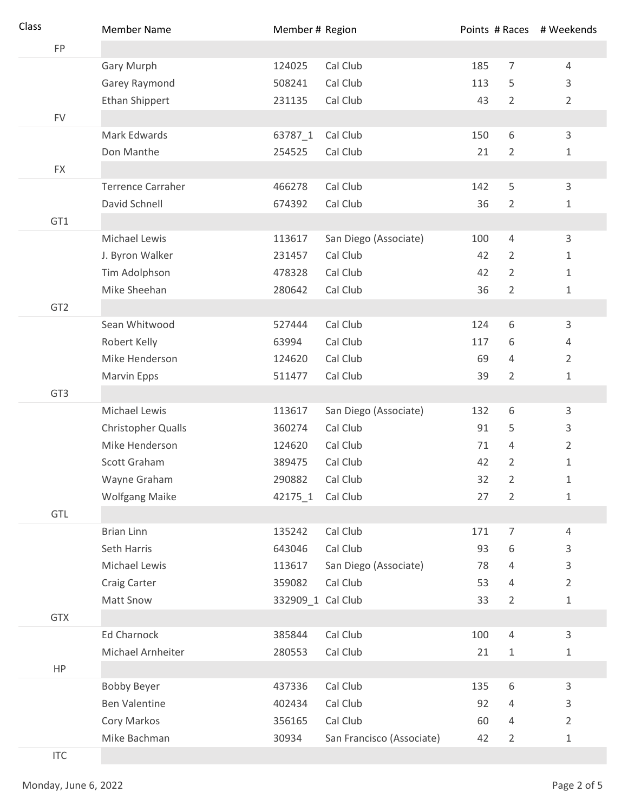| Class                       | <b>Member Name</b>       | Member # Region   |                           |     |                  | Points # Races # Weekends |
|-----------------------------|--------------------------|-------------------|---------------------------|-----|------------------|---------------------------|
| FP                          |                          |                   |                           |     |                  |                           |
|                             | Gary Murph               | 124025            | Cal Club                  | 185 | 7                | 4                         |
|                             | Garey Raymond            | 508241            | Cal Club                  | 113 | 5                | 3                         |
|                             | Ethan Shippert           | 231135            | Cal Club                  | 43  | $\overline{2}$   | $\overline{2}$            |
| <b>FV</b>                   |                          |                   |                           |     |                  |                           |
|                             | Mark Edwards             | 63787_1           | Cal Club                  | 150 | 6                | 3                         |
|                             | Don Manthe               | 254525            | Cal Club                  | 21  | 2                | 1                         |
| <b>FX</b>                   |                          |                   |                           |     |                  |                           |
|                             | <b>Terrence Carraher</b> | 466278            | Cal Club                  | 142 | 5                | 3                         |
|                             | David Schnell            | 674392            | Cal Club                  | 36  | $\overline{2}$   | 1                         |
| GT1                         |                          |                   |                           |     |                  |                           |
|                             | Michael Lewis            | 113617            | San Diego (Associate)     | 100 | 4                | 3                         |
|                             | J. Byron Walker          | 231457            | Cal Club                  | 42  | $\overline{2}$   | 1                         |
|                             | Tim Adolphson            | 478328            | Cal Club                  | 42  | $\overline{2}$   | 1                         |
|                             | Mike Sheehan             | 280642            | Cal Club                  | 36  | $\overline{2}$   | $\mathbf 1$               |
| GT <sub>2</sub>             |                          |                   |                           |     |                  |                           |
|                             | Sean Whitwood            | 527444            | Cal Club                  | 124 | 6                | 3                         |
|                             | Robert Kelly             | 63994             | Cal Club                  | 117 | 6                | 4                         |
|                             | Mike Henderson           | 124620            | Cal Club                  | 69  | 4                | $\overline{2}$            |
|                             | Marvin Epps              | 511477            | Cal Club                  | 39  | 2                | $\mathbf 1$               |
| GT3                         |                          |                   |                           |     |                  |                           |
|                             | <b>Michael Lewis</b>     | 113617            | San Diego (Associate)     | 132 | 6                | 3                         |
|                             | Christopher Qualls       | 360274            | Cal Club                  | 91  | 5                | 3                         |
|                             | Mike Henderson           | 124620            | Cal Club                  | 71  | 4                | $\overline{2}$            |
|                             | Scott Graham             | 389475            | Cal Club                  | 42  | 2                | $1\,$                     |
|                             | Wayne Graham             | 290882            | Cal Club                  | 32  | 2                | 1                         |
|                             | <b>Wolfgang Maike</b>    | 42175 1           | Cal Club                  | 27  | $\overline{2}$   | $\mathbf 1$               |
| GTL                         |                          |                   |                           |     |                  |                           |
|                             | <b>Brian Linn</b>        | 135242            | Cal Club                  | 171 | $\boldsymbol{7}$ | 4                         |
|                             | Seth Harris              | 643046            | Cal Club                  | 93  | 6                | 3                         |
|                             | Michael Lewis            | 113617            | San Diego (Associate)     | 78  | 4                | 3                         |
|                             | Craig Carter             | 359082            | Cal Club                  | 53  | 4                | $\overline{2}$            |
|                             | Matt Snow                | 332909 1 Cal Club |                           | 33  | $\overline{2}$   | 1                         |
| <b>GTX</b>                  |                          |                   |                           |     |                  |                           |
|                             | Ed Charnock              | 385844            | Cal Club                  | 100 | $\sqrt{4}$       | 3                         |
|                             | Michael Arnheiter        | 280553            | Cal Club                  | 21  | $\mathbf 1$      | $\mathbf 1$               |
| HP                          |                          |                   |                           |     |                  |                           |
|                             | <b>Bobby Beyer</b>       | 437336            | Cal Club                  | 135 | 6                | 3                         |
|                             | <b>Ben Valentine</b>     | 402434            | Cal Club                  | 92  | 4                | 3                         |
|                             | Cory Markos              | 356165            | Cal Club                  | 60  | 4                | $\overline{2}$            |
|                             | Mike Bachman             | 30934             | San Francisco (Associate) | 42  | 2                | $\mathbf 1$               |
| $\ensuremath{\mathsf{ITC}}$ |                          |                   |                           |     |                  |                           |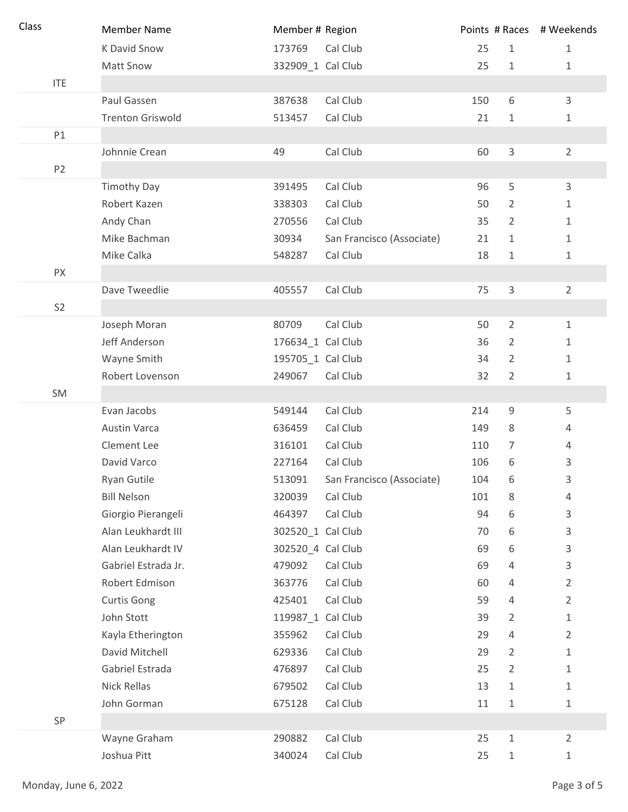| Class |                | <b>Member Name</b>      | Member # Region   |                           |     |                | Points # Races # Weekends |
|-------|----------------|-------------------------|-------------------|---------------------------|-----|----------------|---------------------------|
|       |                | K David Snow            | 173769            | Cal Club                  | 25  | $\mathbf{1}$   | $\mathbf{1}$              |
|       |                | <b>Matt Snow</b>        | 332909_1 Cal Club |                           | 25  | $\mathbf{1}$   | 1                         |
|       | <b>ITE</b>     |                         |                   |                           |     |                |                           |
|       |                | Paul Gassen             | 387638            | Cal Club                  | 150 | 6              | 3                         |
|       |                | <b>Trenton Griswold</b> | 513457            | Cal Club                  | 21  | 1              | 1                         |
|       | P1             |                         |                   |                           |     |                |                           |
|       |                | Johnnie Crean           | 49                | Cal Club                  | 60  | $\mathsf 3$    | $\overline{2}$            |
|       | P <sub>2</sub> |                         |                   |                           |     |                |                           |
|       |                | <b>Timothy Day</b>      | 391495            | Cal Club                  | 96  | 5              | 3                         |
|       |                | Robert Kazen            | 338303            | Cal Club                  | 50  | 2              | 1                         |
|       |                | Andy Chan               | 270556            | Cal Club                  | 35  | $\overline{2}$ | $\mathbf{1}$              |
|       |                | Mike Bachman            | 30934             | San Francisco (Associate) | 21  | $\mathbf{1}$   | 1                         |
|       |                | Mike Calka              | 548287            | Cal Club                  | 18  | $\mathbf{1}$   | 1                         |
|       | PX             |                         |                   |                           |     |                |                           |
|       |                | Dave Tweedlie           | 405557            | Cal Club                  | 75  | 3              | $\overline{2}$            |
|       | S <sub>2</sub> |                         |                   |                           |     |                |                           |
|       |                | Joseph Moran            | 80709             | Cal Club                  | 50  | $\overline{2}$ | $\mathbf{1}$              |
|       |                | Jeff Anderson           | 176634_1 Cal Club |                           | 36  | $\overline{2}$ | 1                         |
|       |                | Wayne Smith             | 195705_1 Cal Club |                           | 34  | 2              | 1                         |
|       |                | Robert Lovenson         | 249067            | Cal Club                  | 32  | $\overline{2}$ | 1                         |
|       | SM             |                         |                   |                           |     |                |                           |
|       |                | Evan Jacobs             | 549144            | Cal Club                  | 214 | $\mathsf 9$    | 5                         |
|       |                | <b>Austin Varca</b>     | 636459            | Cal Club                  | 149 | 8              | 4                         |
|       |                | Clement Lee             | 316101            | Cal Club                  | 110 | $\overline{7}$ | 4                         |
|       |                | David Varco             | 227164            | Cal Club                  | 106 | 6              | 3                         |
|       |                | Ryan Gutile             | 513091            | San Francisco (Associate) | 104 | 6              | 3                         |
|       |                | <b>Bill Nelson</b>      | 320039            | Cal Club                  | 101 | 8              | 4                         |
|       |                | Giorgio Pierangeli      | 464397            | Cal Club                  | 94  | 6              | 3                         |
|       |                | Alan Leukhardt III      | 302520_1 Cal Club |                           | 70  | 6              | 3                         |
|       |                | Alan Leukhardt IV       | 302520_4 Cal Club |                           | 69  | 6              | 3                         |
|       |                | Gabriel Estrada Jr.     | 479092            | Cal Club                  | 69  | 4              | 3                         |
|       |                | Robert Edmison          | 363776            | Cal Club                  | 60  | 4              | $\overline{2}$            |
|       |                | <b>Curtis Gong</b>      | 425401            | Cal Club                  | 59  | 4              | $\overline{2}$            |
|       |                | John Stott              | 119987_1 Cal Club |                           | 39  | 2              | 1                         |
|       |                | Kayla Etherington       | 355962            | Cal Club                  | 29  | 4              | 2                         |
|       |                | David Mitchell          | 629336            | Cal Club                  | 29  | 2              | 1                         |
|       |                | Gabriel Estrada         | 476897            | Cal Club                  | 25  | $\overline{2}$ | 1                         |
|       |                | Nick Rellas             | 679502            | Cal Club                  | 13  | 1              | 1                         |
|       |                | John Gorman             | 675128            | Cal Club                  | 11  | $\mathbf 1$    | 1                         |
|       | SP             |                         |                   |                           |     |                |                           |
|       |                | Wayne Graham            | 290882            | Cal Club                  | 25  | $\mathbf{1}$   | $\overline{2}$            |
|       |                | Joshua Pitt             | 340024            | Cal Club                  | 25  | $\mathbf{1}$   | 1                         |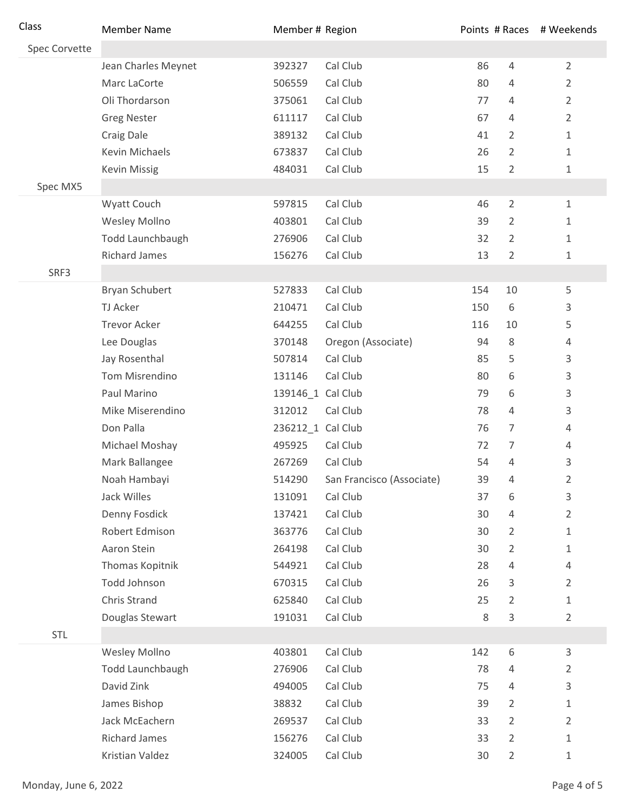| Class         | <b>Member Name</b>   | Member # Region   |                           |     |                | Points # Races # Weekends |
|---------------|----------------------|-------------------|---------------------------|-----|----------------|---------------------------|
| Spec Corvette |                      |                   |                           |     |                |                           |
|               | Jean Charles Meynet  | 392327            | Cal Club                  | 86  | $\overline{4}$ | $\overline{2}$            |
|               | Marc LaCorte         | 506559            | Cal Club                  | 80  | 4              | $\overline{2}$            |
|               | Oli Thordarson       | 375061            | Cal Club                  | 77  | 4              | $\overline{2}$            |
|               | <b>Greg Nester</b>   | 611117            | Cal Club                  | 67  | 4              | $\overline{2}$            |
|               | Craig Dale           | 389132            | Cal Club                  | 41  | $\overline{2}$ | $\mathbf{1}$              |
|               | Kevin Michaels       | 673837            | Cal Club                  | 26  | 2              | $\mathbf{1}$              |
|               | <b>Kevin Missig</b>  | 484031            | Cal Club                  | 15  | $\overline{2}$ | 1                         |
| Spec MX5      |                      |                   |                           |     |                |                           |
|               | Wyatt Couch          | 597815            | Cal Club                  | 46  | $\overline{2}$ | 1                         |
|               | Wesley Mollno        | 403801            | Cal Club                  | 39  | $\overline{2}$ | 1                         |
|               | Todd Launchbaugh     | 276906            | Cal Club                  | 32  | 2              | 1                         |
|               | <b>Richard James</b> | 156276            | Cal Club                  | 13  | $\overline{2}$ | 1                         |
| SRF3          |                      |                   |                           |     |                |                           |
|               | Bryan Schubert       | 527833            | Cal Club                  | 154 | 10             | 5                         |
|               | TJ Acker             | 210471            | Cal Club                  | 150 | 6              | 3                         |
|               | <b>Trevor Acker</b>  | 644255            | Cal Club                  | 116 | 10             | 5                         |
|               | Lee Douglas          | 370148            | Oregon (Associate)        | 94  | 8              | 4                         |
|               | Jay Rosenthal        | 507814            | Cal Club                  | 85  | 5              | 3                         |
|               | Tom Misrendino       | 131146            | Cal Club                  | 80  | 6              | 3                         |
|               | Paul Marino          | 139146_1 Cal Club |                           | 79  | 6              | 3                         |
|               | Mike Miserendino     | 312012            | Cal Club                  | 78  | 4              | 3                         |
|               | Don Palla            | 236212_1 Cal Club |                           | 76  | $\overline{7}$ | 4                         |
|               | Michael Moshay       | 495925            | Cal Club                  | 72  | 7              | 4                         |
|               | Mark Ballangee       | 267269            | Cal Club                  | 54  | 4              | 3                         |
|               | Noah Hambayi         | 514290            | San Francisco (Associate) | 39  | 4              | 2                         |
|               | Jack Willes          | 131091            | Cal Club                  | 37  | 6              | 3                         |
|               | Denny Fosdick        | 137421            | Cal Club                  | 30  | 4              | $\overline{2}$            |
|               | Robert Edmison       | 363776            | Cal Club                  | 30  | $\overline{2}$ | $\mathbf 1$               |
|               | Aaron Stein          | 264198            | Cal Club                  | 30  | $\overline{2}$ | 1                         |
|               | Thomas Kopitnik      | 544921            | Cal Club                  | 28  | 4              | $\overline{4}$            |
|               | Todd Johnson         | 670315            | Cal Club                  | 26  | 3              | $\overline{2}$            |
|               | Chris Strand         | 625840            | Cal Club                  | 25  | 2              | 1                         |
|               | Douglas Stewart      | 191031            | Cal Club                  | 8   | 3              | $\overline{2}$            |
| STL           |                      |                   |                           |     |                |                           |
|               | <b>Wesley Mollno</b> | 403801            | Cal Club                  | 142 | 6              | 3                         |
|               | Todd Launchbaugh     | 276906            | Cal Club                  | 78  | 4              | 2                         |
|               | David Zink           | 494005            | Cal Club                  | 75  | 4              | 3                         |
|               | James Bishop         | 38832             | Cal Club                  | 39  | $\overline{2}$ | $\mathbf 1$               |
|               | Jack McEachern       | 269537            | Cal Club                  | 33  | $\overline{2}$ | $\overline{2}$            |
|               | <b>Richard James</b> | 156276            | Cal Club                  | 33  | $\overline{2}$ | $\mathbf 1$               |
|               | Kristian Valdez      | 324005            | Cal Club                  | 30  | $\overline{2}$ | $\mathbf 1$               |